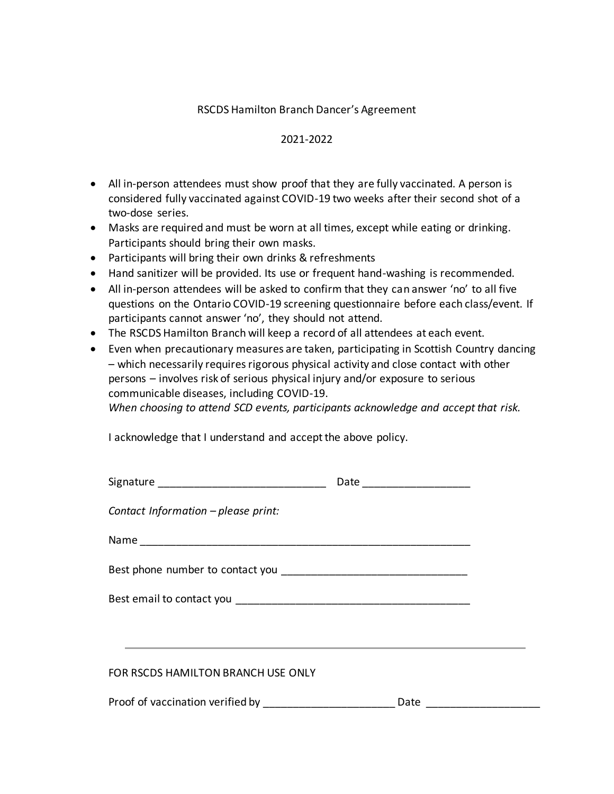#### RSCDS Hamilton Branch Dancer's Agreement

#### 2021-2022

- All in-person attendees must show proof that they are fully vaccinated. A person is considered fully vaccinated against COVID-19 two weeks after their second shot of a two-dose series.
- Masks are required and must be worn at all times, except while eating or drinking. Participants should bring their own masks.
- Participants will bring their own drinks & refreshments
- Hand sanitizer will be provided. Its use or frequent hand-washing is recommended.
- All in-person attendees will be asked to confirm that they can answer 'no' to all five questions on the Ontario COVID-19 screening questionnaire before each class/event. If participants cannot answer 'no', they should not attend.
- The RSCDS Hamilton Branch will keep a record of all attendees at each event.
- Even when precautionary measures are taken, participating in Scottish Country dancing – which necessarily requires rigorous physical activity and close contact with other persons – involves risk of serious physical injury and/or exposure to serious communicable diseases, including COVID-19. *When choosing to attend SCD events, participants acknowledge and accept that risk.*

I acknowledge that I understand and accept the above policy.

|                                     | Date _______________________ |  |
|-------------------------------------|------------------------------|--|
| Contact Information - please print: |                              |  |
|                                     |                              |  |
|                                     |                              |  |
|                                     |                              |  |
|                                     |                              |  |
| FOR RSCDS HAMILTON BRANCH USE ONLY  |                              |  |
|                                     | Date ___________             |  |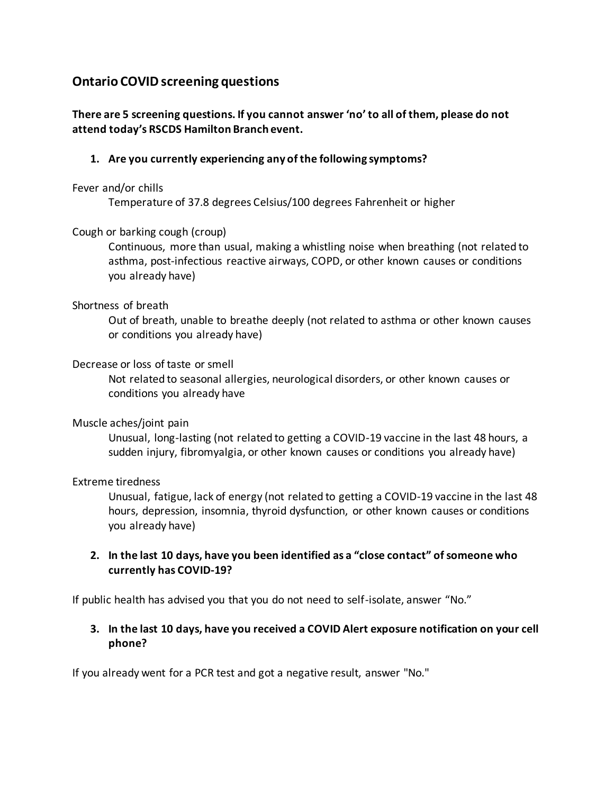# **Ontario COVID screening questions**

# **There are 5 screening questions. If you cannot answer 'no' to all of them, please do not attend today's RSCDS Hamilton Branch event.**

## **1. Are you currently experiencing any of the following symptoms?**

#### Fever and/or chills

Temperature of 37.8 degrees Celsius/100 degrees Fahrenheit or higher

## Cough or barking cough (croup)

Continuous, more than usual, making a whistling noise when breathing (not related to asthma, post-infectious reactive airways, COPD, or other known causes or conditions you already have)

## Shortness of breath

Out of breath, unable to breathe deeply (not related to asthma or other known causes or conditions you already have)

## Decrease or loss of taste or smell

Not related to seasonal allergies, neurological disorders, or other known causes or conditions you already have

## Muscle aches/joint pain

Unusual, long-lasting (not related to getting a COVID-19 vaccine in the last 48 hours, a sudden injury, fibromyalgia, or other known causes or conditions you already have)

## Extreme tiredness

Unusual, fatigue, lack of energy (not related to getting a COVID-19 vaccine in the last 48 hours, depression, insomnia, thyroid dysfunction, or other known causes or conditions you already have)

# **2. In the last 10 days, have you been identified as a "close contact" of someone who currently has COVID-19?**

If public health has advised you that you do not need to self-isolate, answer "No."

# **3. In the last 10 days, have you received a COVID Alert exposure notification on your cell phone?**

If you already went for a PCR test and got a negative result, answer "No."